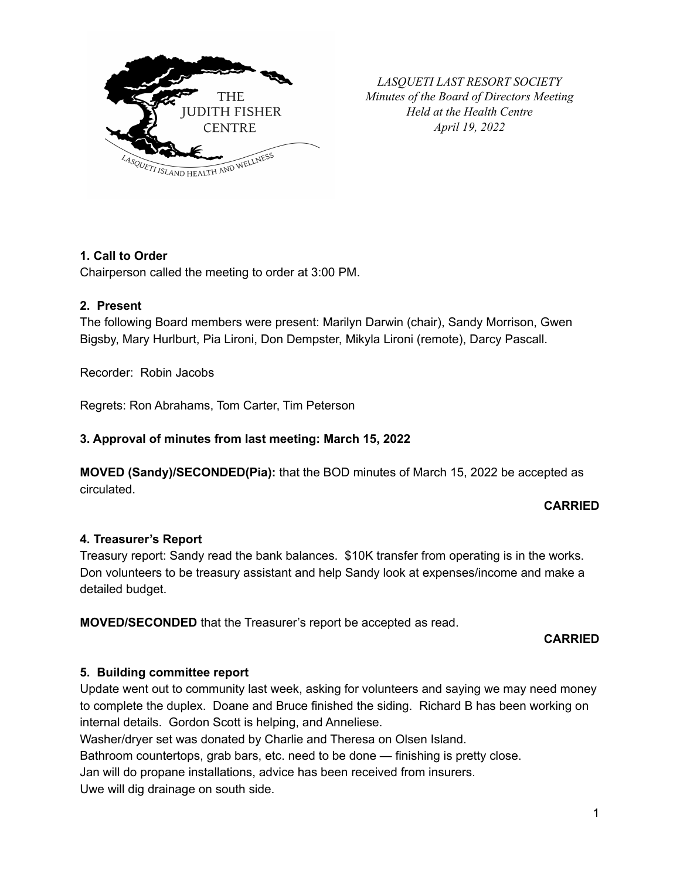

*LASQUETI LAST RESORT SOCIETY Minutes of the Board of Directors Meeting Held at the Health Centre April 19, 2022*

# **1. Call to Order**

Chairperson called the meeting to order at 3:00 PM.

## **2. Present**

The following Board members were present: Marilyn Darwin (chair), Sandy Morrison, Gwen Bigsby, Mary Hurlburt, Pia Lironi, Don Dempster, Mikyla Lironi (remote), Darcy Pascall.

Recorder: Robin Jacobs

Regrets: Ron Abrahams, Tom Carter, Tim Peterson

## **3. Approval of minutes from last meeting: March 15, 2022**

**MOVED (Sandy)/SECONDED(Pia):** that the BOD minutes of March 15, 2022 be accepted as circulated.

#### **CARRIED**

#### **4. Treasurer's Report**

Treasury report: Sandy read the bank balances. \$10K transfer from operating is in the works. Don volunteers to be treasury assistant and help Sandy look at expenses/income and make a detailed budget.

**MOVED/SECONDED** that the Treasurer's report be accepted as read.

#### **CARRIED**

#### **5. Building committee report**

Update went out to community last week, asking for volunteers and saying we may need money to complete the duplex. Doane and Bruce finished the siding. Richard B has been working on internal details. Gordon Scott is helping, and Anneliese.

Washer/dryer set was donated by Charlie and Theresa on Olsen Island.

Bathroom countertops, grab bars, etc. need to be done — finishing is pretty close.

Jan will do propane installations, advice has been received from insurers.

Uwe will dig drainage on south side.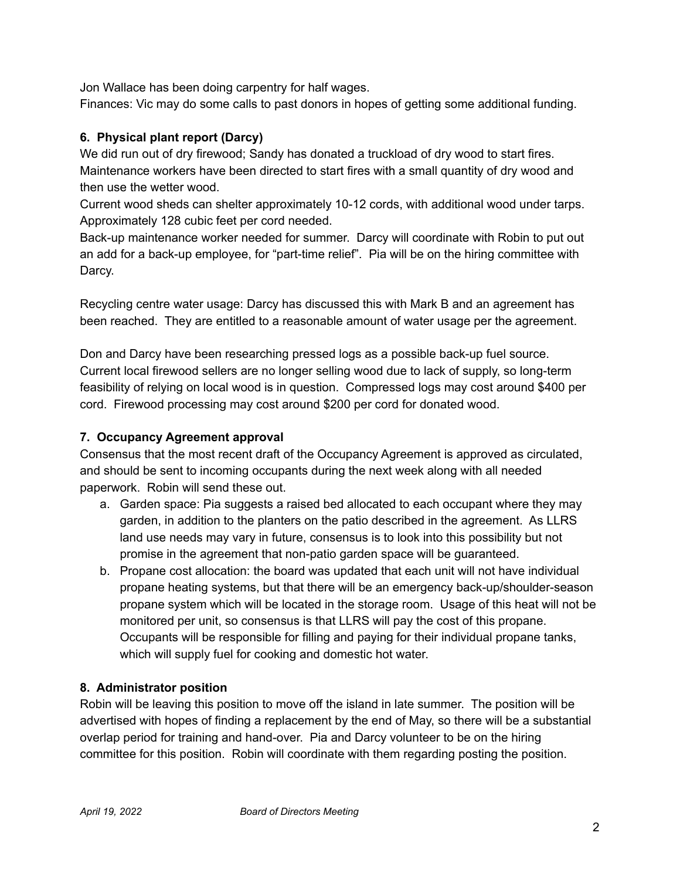Jon Wallace has been doing carpentry for half wages.

Finances: Vic may do some calls to past donors in hopes of getting some additional funding.

# **6. Physical plant report (Darcy)**

We did run out of dry firewood; Sandy has donated a truckload of dry wood to start fires. Maintenance workers have been directed to start fires with a small quantity of dry wood and then use the wetter wood.

Current wood sheds can shelter approximately 10-12 cords, with additional wood under tarps. Approximately 128 cubic feet per cord needed.

Back-up maintenance worker needed for summer. Darcy will coordinate with Robin to put out an add for a back-up employee, for "part-time relief". Pia will be on the hiring committee with Darcy.

Recycling centre water usage: Darcy has discussed this with Mark B and an agreement has been reached. They are entitled to a reasonable amount of water usage per the agreement.

Don and Darcy have been researching pressed logs as a possible back-up fuel source. Current local firewood sellers are no longer selling wood due to lack of supply, so long-term feasibility of relying on local wood is in question. Compressed logs may cost around \$400 per cord. Firewood processing may cost around \$200 per cord for donated wood.

# **7. Occupancy Agreement approval**

Consensus that the most recent draft of the Occupancy Agreement is approved as circulated, and should be sent to incoming occupants during the next week along with all needed paperwork. Robin will send these out.

- a. Garden space: Pia suggests a raised bed allocated to each occupant where they may garden, in addition to the planters on the patio described in the agreement. As LLRS land use needs may vary in future, consensus is to look into this possibility but not promise in the agreement that non-patio garden space will be guaranteed.
- b. Propane cost allocation: the board was updated that each unit will not have individual propane heating systems, but that there will be an emergency back-up/shoulder-season propane system which will be located in the storage room. Usage of this heat will not be monitored per unit, so consensus is that LLRS will pay the cost of this propane. Occupants will be responsible for filling and paying for their individual propane tanks, which will supply fuel for cooking and domestic hot water.

# **8. Administrator position**

Robin will be leaving this position to move off the island in late summer. The position will be advertised with hopes of finding a replacement by the end of May, so there will be a substantial overlap period for training and hand-over. Pia and Darcy volunteer to be on the hiring committee for this position. Robin will coordinate with them regarding posting the position.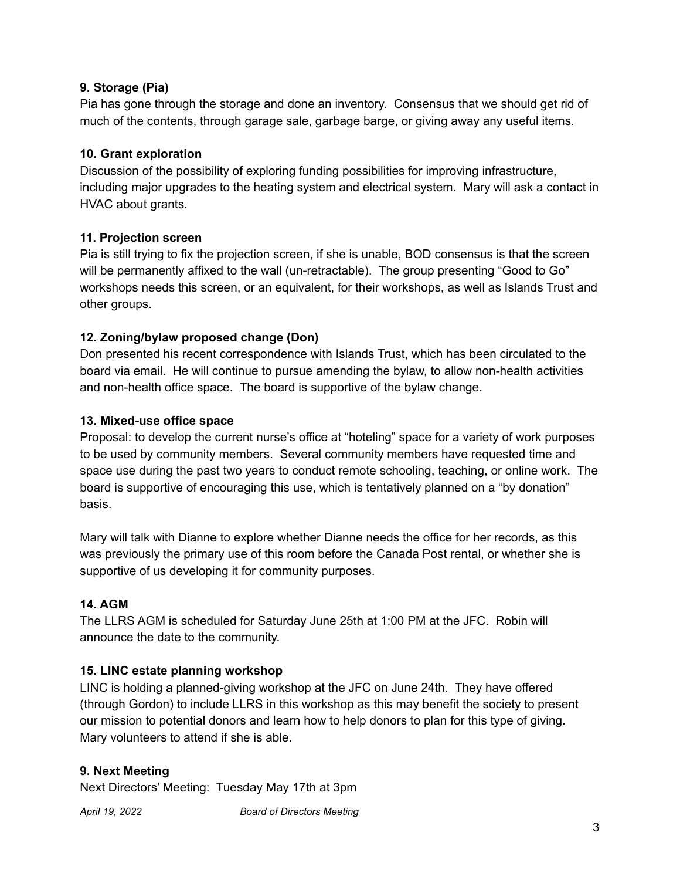## **9. Storage (Pia)**

Pia has gone through the storage and done an inventory. Consensus that we should get rid of much of the contents, through garage sale, garbage barge, or giving away any useful items.

## **10. Grant exploration**

Discussion of the possibility of exploring funding possibilities for improving infrastructure, including major upgrades to the heating system and electrical system. Mary will ask a contact in HVAC about grants.

## **11. Projection screen**

Pia is still trying to fix the projection screen, if she is unable, BOD consensus is that the screen will be permanently affixed to the wall (un-retractable). The group presenting "Good to Go" workshops needs this screen, or an equivalent, for their workshops, as well as Islands Trust and other groups.

## **12. Zoning/bylaw proposed change (Don)**

Don presented his recent correspondence with Islands Trust, which has been circulated to the board via email. He will continue to pursue amending the bylaw, to allow non-health activities and non-health office space. The board is supportive of the bylaw change.

## **13. Mixed-use office space**

Proposal: to develop the current nurse's office at "hoteling" space for a variety of work purposes to be used by community members. Several community members have requested time and space use during the past two years to conduct remote schooling, teaching, or online work. The board is supportive of encouraging this use, which is tentatively planned on a "by donation" basis.

Mary will talk with Dianne to explore whether Dianne needs the office for her records, as this was previously the primary use of this room before the Canada Post rental, or whether she is supportive of us developing it for community purposes.

## **14. AGM**

The LLRS AGM is scheduled for Saturday June 25th at 1:00 PM at the JFC. Robin will announce the date to the community.

## **15. LINC estate planning workshop**

LINC is holding a planned-giving workshop at the JFC on June 24th. They have offered (through Gordon) to include LLRS in this workshop as this may benefit the society to present our mission to potential donors and learn how to help donors to plan for this type of giving. Mary volunteers to attend if she is able.

## **9. Next Meeting**

Next Directors' Meeting: Tuesday May 17th at 3pm